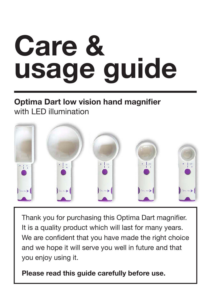# Care & usage guide

### Optima Dart low vision hand magnifier with LED illumination



Thank you for purchasing this Optima Dart magnifier. It is a quality product which will last for many years. We are confident that you have made the right choice and we hope it will serve you well in future and that you enjoy using it.

Please read this guide carefully before use.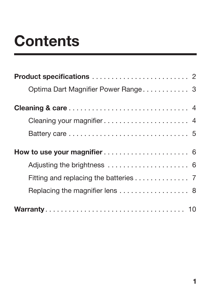# **Contents**

| Optima Dart Magnifier Power Range 3   |
|---------------------------------------|
|                                       |
| Cleaning your magnifier 4             |
|                                       |
|                                       |
|                                       |
| Fitting and replacing the batteries 7 |
| Replacing the magnifier lens 8        |
|                                       |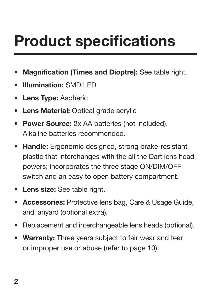# <span id="page-3-0"></span>Product specifications

- **Magnification (Times and Dioptre):** See table right.
- Illumination: SMD LED
- Lens Type: Aspheric
- Lens Material: Optical grade acrylic
- Power Source: 2x AA batteries (not included). Alkaline batteries recommended.
- Handle: Ergonomic designed, strong brake-resistant plastic that interchanges with the all the Dart lens head powers; incorporates the three stage ON/DIM/OFF switch and an easy to open battery compartment.
- Lens size: See table right.
- Accessories: Protective lens bag, Care & Usage Guide, and lanyard (optional extra).
- Replacement and interchangeable lens heads (optional).
- Warranty: Three years subject to fair wear and tear or improper use or abuse (refer to page 10).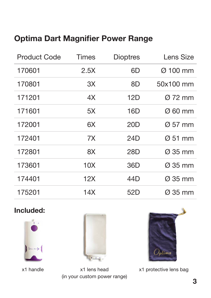### <span id="page-4-0"></span>Optima Dart Magnifier Power Range

| <b>Product Code</b> | <b>Times</b>    | <b>Dioptres</b> | Lens Size            |
|---------------------|-----------------|-----------------|----------------------|
| 170601              | 2.5X            | 6D              | $\varnothing$ 100 mm |
| 170801              | 3X              | 8D              | 50x100 mm            |
| 171201              | 4X              | 12D             | $\varnothing$ 72 mm  |
| 171601              | 5X              | 16D             | Ø 60 mm              |
| 172001              | 6X              | 20 <sub>D</sub> | $\varnothing$ 57 mm  |
| 172401              | 7X              | 24D             | $\varnothing$ 51 mm  |
| 172801              | 8X              | 28D             | $\varnothing$ 35 mm  |
| 173601              | 10 <sub>X</sub> | 36D             | $\varnothing$ 35 mm  |
| 174401              | 12X             | 44D             | $\varnothing$ 35 mm  |
| 175201              | 14X             | 52D             | $\varnothing$ 35 mm  |

#### Included:





x1 handle x1 lens head (in your custom power range)



x1 protective lens bag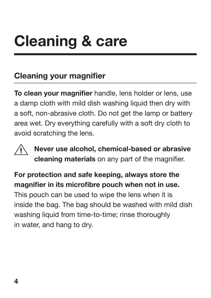# <span id="page-5-0"></span>Cleaning & care

## Cleaning your magnifier

To clean your magnifier handle, lens holder or lens, use a damp cloth with mild dish washing liquid then dry with a soft, non-abrasive cloth. Do not get the lamp or battery area wet. Dry everything carefully with a soft dry cloth to avoid scratching the lens.



Never use alcohol, chemical-based or abrasive cleaning materials on any part of the magnifier.

#### For protection and safe keeping, always store the magnifier in its microfibre pouch when not in use.

This pouch can be used to wipe the lens when it is inside the bag. The bag should be washed with mild dish washing liquid from time-to-time; rinse thoroughly in water, and hang to dry.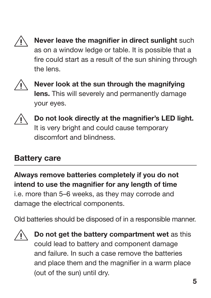<span id="page-6-0"></span>

Never leave the magnifier in direct sunlight such as on a window ledge or table. It is possible that a fire could start as a result of the sun shining through the lens.



Never look at the sun through the magnifying lens. This will severely and permanently damage your eyes.



Do not look directly at the magnifier's LED light. It is very bright and could cause temporary discomfort and blindness.

### Battery care

Always remove batteries completely if you do not intend to use the magnifier for any length of time i.e. more than 5–6 weeks, as they may corrode and damage the electrical components.

Old batteries should be disposed of in a responsible manner.



Do not get the battery compartment wet as this could lead to battery and component damage and failure. In such a case remove the batteries and place them and the magnifier in a warm place (out of the sun) until dry.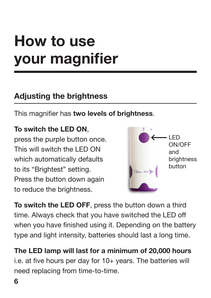# <span id="page-7-0"></span>How to use your magnifier

### Adjusting the brightness

This magnifier has two levels of brightness.

#### To switch the LED ON,

press the purple button once. This will switch the LED ON which automatically defaults to its "Brightest" setting. Press the button down again to reduce the brightness.



To switch the LED OFF, press the button down a third time. Always check that you have switched the LED off when you have finished using it. Depending on the battery type and light intensity, batteries should last a long time.

The LED lamp will last for a minimum of 20,000 hours i.e. at five hours per day for 10+ years. The batteries will need replacing from time-to-time.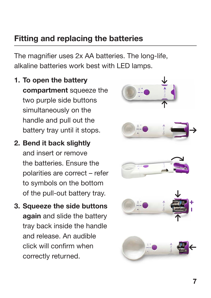### <span id="page-8-0"></span>Fitting and replacing the batteries

The magnifier uses 2x AA batteries. The long-life, alkaline batteries work best with LED lamps.

- 1. To open the battery compartment squeeze the two purple side buttons simultaneously on the handle and pull out the battery tray until it stops.
- 2. Bend it back slightly and insert or remove the batteries. Ensure the polarities are correct – refer to symbols on the bottom of the pull-out battery tray.
- 3. Squeeze the side buttons again and slide the battery tray back inside the handle and release. An audible click will confirm when correctly returned.

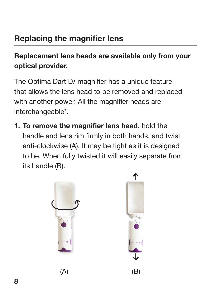## <span id="page-9-0"></span>Replacing the magnifier lens

#### Replacement lens heads are available only from your optical provider.

The Optima Dart LV magnifier has a unique feature that allows the lens head to be removed and replaced with another power. All the magnifier heads are interchangeable\*.

1. To remove the magnifier lens head, hold the handle and lens rim firmly in both hands, and twist anti-clockwise (A). It may be tight as it is designed to be. When fully twisted it will easily separate from its handle (B).

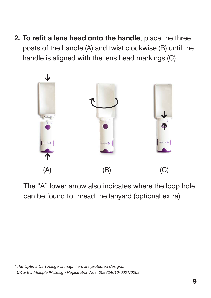2. To refit a lens head onto the handle, place the three posts of the handle (A) and twist clockwise (B) until the handle is aligned with the lens head markings (C).



The "A" lower arrow also indicates where the loop hole can be found to thread the lanyard (optional extra).